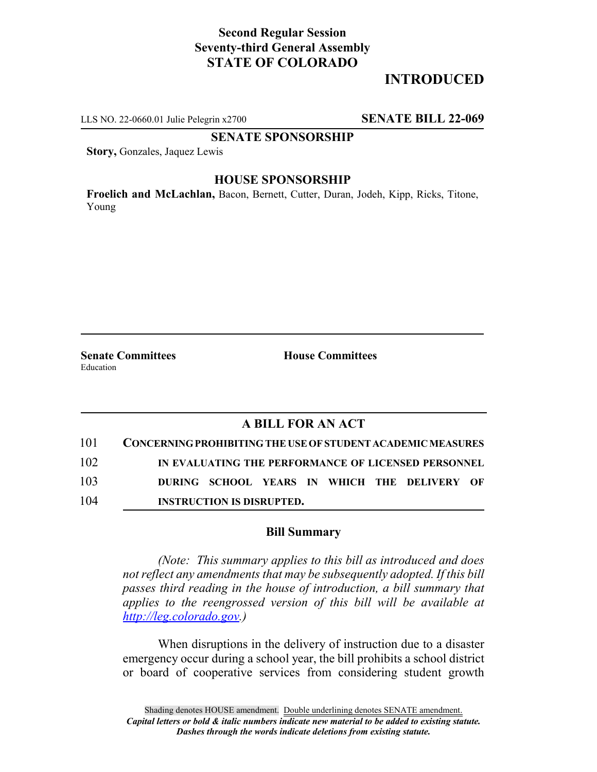# **Second Regular Session Seventy-third General Assembly STATE OF COLORADO**

# **INTRODUCED**

LLS NO. 22-0660.01 Julie Pelegrin x2700 **SENATE BILL 22-069**

### **SENATE SPONSORSHIP**

**Story,** Gonzales, Jaquez Lewis

### **HOUSE SPONSORSHIP**

**Froelich and McLachlan,** Bacon, Bernett, Cutter, Duran, Jodeh, Kipp, Ricks, Titone, Young

**Senate Committees House Committees** Education

## **A BILL FOR AN ACT**

| 101 | <b>CONCERNING PROHIBITING THE USE OF STUDENT ACADEMIC MEASURES</b> |
|-----|--------------------------------------------------------------------|
| 102 | IN EVALUATING THE PERFORMANCE OF LICENSED PERSONNEL                |
| 103 | DURING SCHOOL YEARS IN WHICH THE DELIVERY OF                       |
| 104 | <b>INSTRUCTION IS DISRUPTED.</b>                                   |

#### **Bill Summary**

*(Note: This summary applies to this bill as introduced and does not reflect any amendments that may be subsequently adopted. If this bill passes third reading in the house of introduction, a bill summary that applies to the reengrossed version of this bill will be available at http://leg.colorado.gov.)*

When disruptions in the delivery of instruction due to a disaster emergency occur during a school year, the bill prohibits a school district or board of cooperative services from considering student growth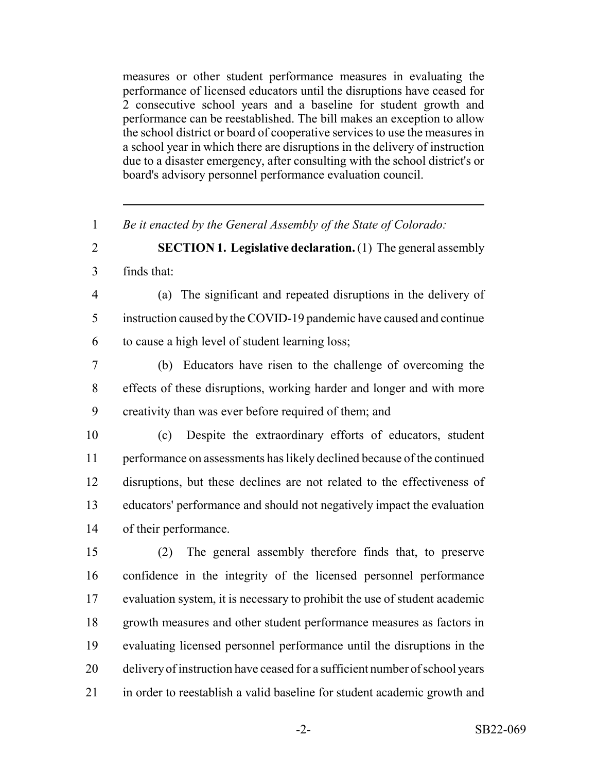measures or other student performance measures in evaluating the performance of licensed educators until the disruptions have ceased for 2 consecutive school years and a baseline for student growth and performance can be reestablished. The bill makes an exception to allow the school district or board of cooperative services to use the measures in a school year in which there are disruptions in the delivery of instruction due to a disaster emergency, after consulting with the school district's or board's advisory personnel performance evaluation council.

*Be it enacted by the General Assembly of the State of Colorado:*

- **SECTION 1. Legislative declaration.** (1) The general assembly
- finds that:
- (a) The significant and repeated disruptions in the delivery of instruction caused by the COVID-19 pandemic have caused and continue to cause a high level of student learning loss;
- (b) Educators have risen to the challenge of overcoming the effects of these disruptions, working harder and longer and with more creativity than was ever before required of them; and
- (c) Despite the extraordinary efforts of educators, student performance on assessments has likely declined because of the continued disruptions, but these declines are not related to the effectiveness of educators' performance and should not negatively impact the evaluation of their performance.
- (2) The general assembly therefore finds that, to preserve confidence in the integrity of the licensed personnel performance evaluation system, it is necessary to prohibit the use of student academic growth measures and other student performance measures as factors in evaluating licensed personnel performance until the disruptions in the delivery of instruction have ceased for a sufficient number of school years in order to reestablish a valid baseline for student academic growth and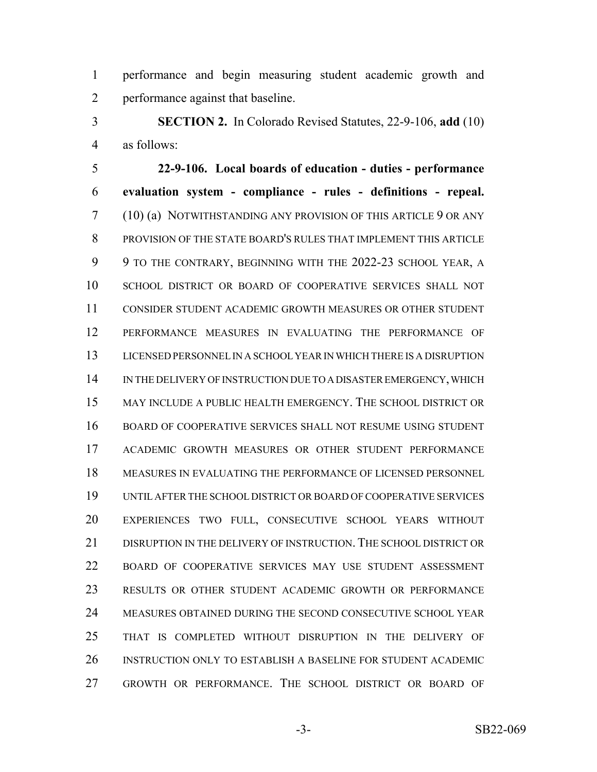performance and begin measuring student academic growth and performance against that baseline.

 **SECTION 2.** In Colorado Revised Statutes, 22-9-106, **add** (10) as follows:

 **22-9-106. Local boards of education - duties - performance evaluation system - compliance - rules - definitions - repeal.** (10) (a) NOTWITHSTANDING ANY PROVISION OF THIS ARTICLE 9 OR ANY PROVISION OF THE STATE BOARD'S RULES THAT IMPLEMENT THIS ARTICLE 9 TO THE CONTRARY, BEGINNING WITH THE 2022-23 SCHOOL YEAR, A SCHOOL DISTRICT OR BOARD OF COOPERATIVE SERVICES SHALL NOT CONSIDER STUDENT ACADEMIC GROWTH MEASURES OR OTHER STUDENT PERFORMANCE MEASURES IN EVALUATING THE PERFORMANCE OF LICENSED PERSONNEL IN A SCHOOL YEAR IN WHICH THERE IS A DISRUPTION IN THE DELIVERY OF INSTRUCTION DUE TO A DISASTER EMERGENCY, WHICH MAY INCLUDE A PUBLIC HEALTH EMERGENCY. THE SCHOOL DISTRICT OR BOARD OF COOPERATIVE SERVICES SHALL NOT RESUME USING STUDENT ACADEMIC GROWTH MEASURES OR OTHER STUDENT PERFORMANCE MEASURES IN EVALUATING THE PERFORMANCE OF LICENSED PERSONNEL UNTIL AFTER THE SCHOOL DISTRICT OR BOARD OF COOPERATIVE SERVICES EXPERIENCES TWO FULL, CONSECUTIVE SCHOOL YEARS WITHOUT 21 DISRUPTION IN THE DELIVERY OF INSTRUCTION. THE SCHOOL DISTRICT OR BOARD OF COOPERATIVE SERVICES MAY USE STUDENT ASSESSMENT RESULTS OR OTHER STUDENT ACADEMIC GROWTH OR PERFORMANCE MEASURES OBTAINED DURING THE SECOND CONSECUTIVE SCHOOL YEAR THAT IS COMPLETED WITHOUT DISRUPTION IN THE DELIVERY OF INSTRUCTION ONLY TO ESTABLISH A BASELINE FOR STUDENT ACADEMIC GROWTH OR PERFORMANCE. THE SCHOOL DISTRICT OR BOARD OF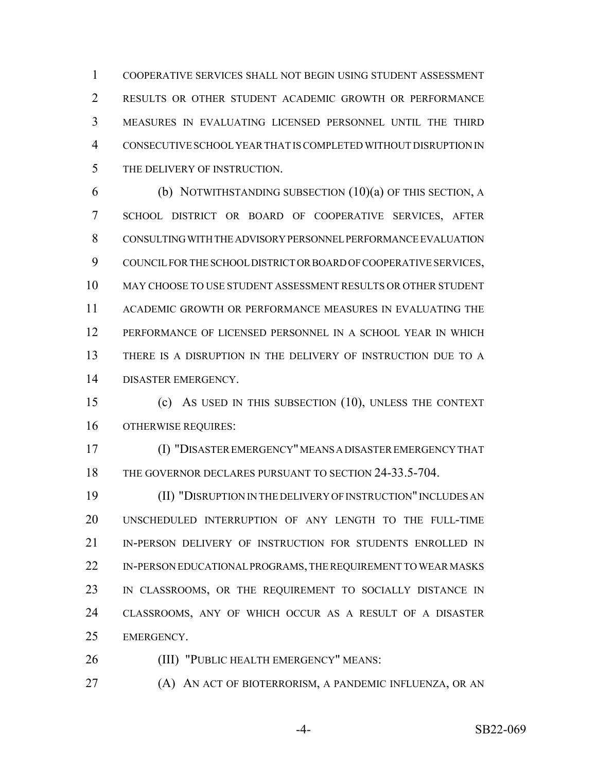COOPERATIVE SERVICES SHALL NOT BEGIN USING STUDENT ASSESSMENT RESULTS OR OTHER STUDENT ACADEMIC GROWTH OR PERFORMANCE MEASURES IN EVALUATING LICENSED PERSONNEL UNTIL THE THIRD CONSECUTIVE SCHOOL YEAR THAT IS COMPLETED WITHOUT DISRUPTION IN THE DELIVERY OF INSTRUCTION.

 (b) NOTWITHSTANDING SUBSECTION (10)(a) OF THIS SECTION, A SCHOOL DISTRICT OR BOARD OF COOPERATIVE SERVICES, AFTER CONSULTING WITH THE ADVISORY PERSONNEL PERFORMANCE EVALUATION COUNCIL FOR THE SCHOOL DISTRICT OR BOARD OF COOPERATIVE SERVICES, MAY CHOOSE TO USE STUDENT ASSESSMENT RESULTS OR OTHER STUDENT ACADEMIC GROWTH OR PERFORMANCE MEASURES IN EVALUATING THE PERFORMANCE OF LICENSED PERSONNEL IN A SCHOOL YEAR IN WHICH THERE IS A DISRUPTION IN THE DELIVERY OF INSTRUCTION DUE TO A DISASTER EMERGENCY.

 (c) AS USED IN THIS SUBSECTION (10), UNLESS THE CONTEXT OTHERWISE REQUIRES:

 (I) "DISASTER EMERGENCY" MEANS A DISASTER EMERGENCY THAT 18 THE GOVERNOR DECLARES PURSUANT TO SECTION 24-33.5-704.

 (II) "DISRUPTION IN THE DELIVERY OF INSTRUCTION" INCLUDES AN UNSCHEDULED INTERRUPTION OF ANY LENGTH TO THE FULL-TIME IN-PERSON DELIVERY OF INSTRUCTION FOR STUDENTS ENROLLED IN 22 IN-PERSON EDUCATIONAL PROGRAMS, THE REQUIREMENT TO WEAR MASKS IN CLASSROOMS, OR THE REQUIREMENT TO SOCIALLY DISTANCE IN CLASSROOMS, ANY OF WHICH OCCUR AS A RESULT OF A DISASTER EMERGENCY.

(III) "PUBLIC HEALTH EMERGENCY" MEANS:

(A) AN ACT OF BIOTERRORISM, A PANDEMIC INFLUENZA, OR AN